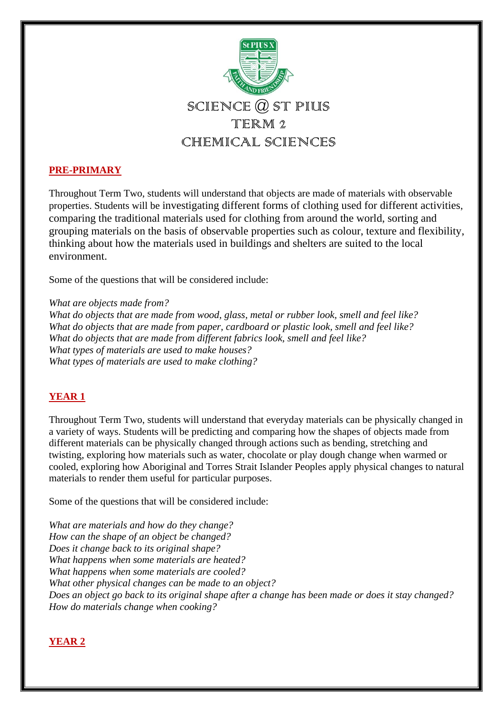

# **PRE-PRIMARY**

Throughout Term Two, students will understand that objects are made of materials with observable properties. Students will be investigating different forms of clothing used for different activities, comparing the traditional materials used for clothing from around the world, sorting and grouping materials on the basis of observable properties such as colour, texture and flexibility, thinking about how the materials used in buildings and shelters are suited to the local environment.

Some of the questions that will be considered include:

*What are objects made from?*

*What do objects that are made from wood, glass, metal or rubber look, smell and feel like? What do objects that are made from paper, cardboard or plastic look, smell and feel like? What do objects that are made from different fabrics look, smell and feel like? What types of materials are used to make houses? What types of materials are used to make clothing?* 

## **YEAR 1**

Throughout Term Two, students will understand that everyday materials can be physically changed in a variety of ways. Students will be predicting and comparing how the shapes of objects made from different materials can be physically changed through actions such as bending, stretching and twisting, exploring how materials such as water, chocolate or play dough change when warmed or cooled, exploring how Aboriginal and Torres Strait Islander Peoples apply physical changes to natural materials to render them useful for particular purposes.

Some of the questions that will be considered include:

*What are materials and how do they change? How can the shape of an object be changed? Does it change back to its original shape? What happens when some materials are heated? What happens when some materials are cooled? What other physical changes can be made to an object? Does an object go back to its original shape after a change has been made or does it stay changed? How do materials change when cooking?*

## **YEAR 2**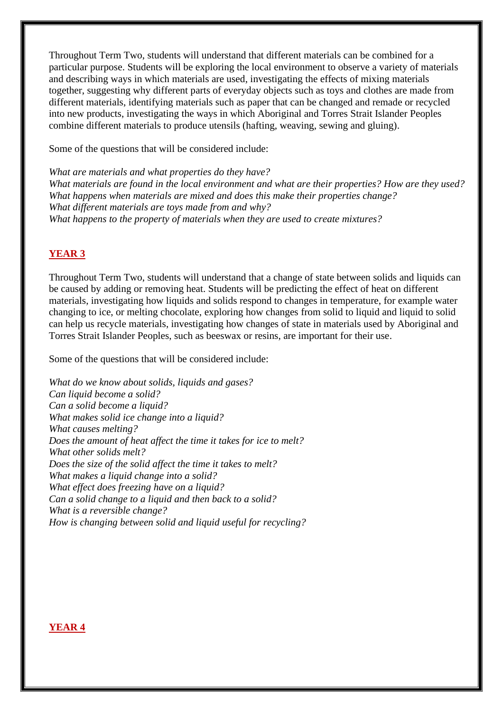Throughout Term Two, students will understand that different materials can be combined for a particular purpose. Students will be exploring the local environment to observe a variety of materials and describing ways in which materials are used, investigating the effects of mixing materials together, suggesting why different parts of everyday objects such as toys and clothes are made from different materials, identifying materials such as paper that can be changed and remade or recycled into new products, investigating the ways in which Aboriginal and Torres Strait Islander Peoples combine different materials to produce utensils (hafting, weaving, sewing and gluing).

Some of the questions that will be considered include:

*What are materials and what properties do they have? What materials are found in the local environment and what are their properties? How are they used? What happens when materials are mixed and does this make their properties change? What different materials are toys made from and why? What happens to the property of materials when they are used to create mixtures?* 

# **YEAR 3**

Throughout Term Two, students will understand that a change of state between solids and liquids can be caused by adding or removing heat. Students will be predicting the effect of heat on different materials, investigating how liquids and solids respond to changes in temperature, for example water changing to ice, or melting chocolate, exploring how changes from solid to liquid and liquid to solid can help us recycle materials, investigating how changes of state in materials used by Aboriginal and Torres Strait Islander Peoples, such as beeswax or resins, are important for their use.

Some of the questions that will be considered include:

*What do we know about solids, liquids and gases? Can liquid become a solid? Can a solid become a liquid? What makes solid ice change into a liquid? What causes melting? Does the amount of heat affect the time it takes for ice to melt? What other solids melt? Does the size of the solid affect the time it takes to melt? What makes a liquid change into a solid? What effect does freezing have on a liquid? Can a solid change to a liquid and then back to a solid? What is a reversible change? How is changing between solid and liquid useful for recycling?* 

### **YEAR 4**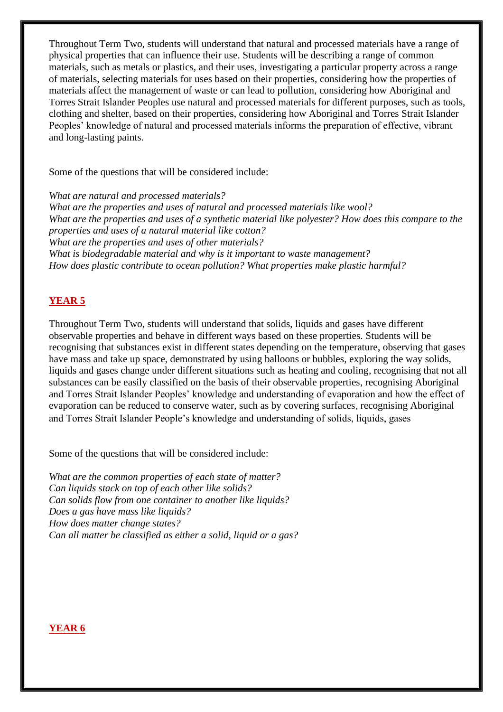Throughout Term Two, students will understand that natural and processed materials have a range of physical properties that can influence their use. Students will be describing a range of common materials, such as metals or plastics, and their uses, investigating a particular property across a range of materials, selecting materials for uses based on their properties, considering how the properties of materials affect the management of waste or can lead to pollution, considering how Aboriginal and Torres Strait Islander Peoples use natural and processed materials for different purposes, such as tools, clothing and shelter, based on their properties, considering how Aboriginal and Torres Strait Islander Peoples' knowledge of natural and processed materials informs the preparation of effective, vibrant and long-lasting paints.

Some of the questions that will be considered include:

*What are natural and processed materials? What are the properties and uses of natural and processed materials like wool? What are the properties and uses of a synthetic material like polyester? How does this compare to the properties and uses of a natural material like cotton? What are the properties and uses of other materials? What is biodegradable material and why is it important to waste management? How does plastic contribute to ocean pollution? What properties make plastic harmful?* 

# **YEAR 5**

Throughout Term Two, students will understand that solids, liquids and gases have different observable properties and behave in different ways based on these properties. Students will be recognising that substances exist in different states depending on the temperature, observing that gases have mass and take up space, demonstrated by using balloons or bubbles, exploring the way solids, liquids and gases change under different situations such as heating and cooling, recognising that not all substances can be easily classified on the basis of their observable properties, recognising Aboriginal and Torres Strait Islander Peoples' knowledge and understanding of evaporation and how the effect of evaporation can be reduced to conserve water, such as by covering surfaces, recognising Aboriginal and Torres Strait Islander People's knowledge and understanding of solids, liquids, gases

Some of the questions that will be considered include:

*What are the common properties of each state of matter? Can liquids stack on top of each other like solids? Can solids flow from one container to another like liquids? Does a gas have mass like liquids? How does matter change states? Can all matter be classified as either a solid, liquid or a gas?* 

### **YEAR 6**